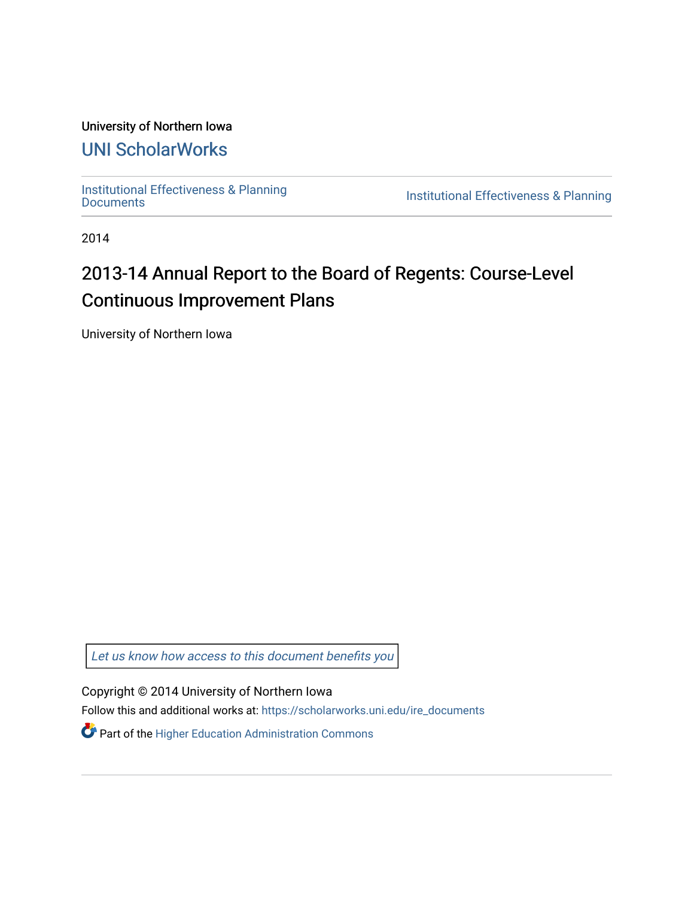### University of Northern Iowa

## [UNI ScholarWorks](https://scholarworks.uni.edu/)

[Institutional Effectiveness & Planning](https://scholarworks.uni.edu/ire_documents)

Institutional Effectiveness & Planning

2014

# 2013-14 Annual Report to the Board of Regents: Course-Level Continuous Improvement Plans

University of Northern Iowa

[Let us know how access to this document benefits you](https://scholarworks.uni.edu/feedback_form.html) 

Copyright © 2014 University of Northern Iowa

Follow this and additional works at: [https://scholarworks.uni.edu/ire\\_documents](https://scholarworks.uni.edu/ire_documents?utm_source=scholarworks.uni.edu%2Fire_documents%2F261&utm_medium=PDF&utm_campaign=PDFCoverPages) 

Part of the [Higher Education Administration Commons](http://network.bepress.com/hgg/discipline/791?utm_source=scholarworks.uni.edu%2Fire_documents%2F261&utm_medium=PDF&utm_campaign=PDFCoverPages)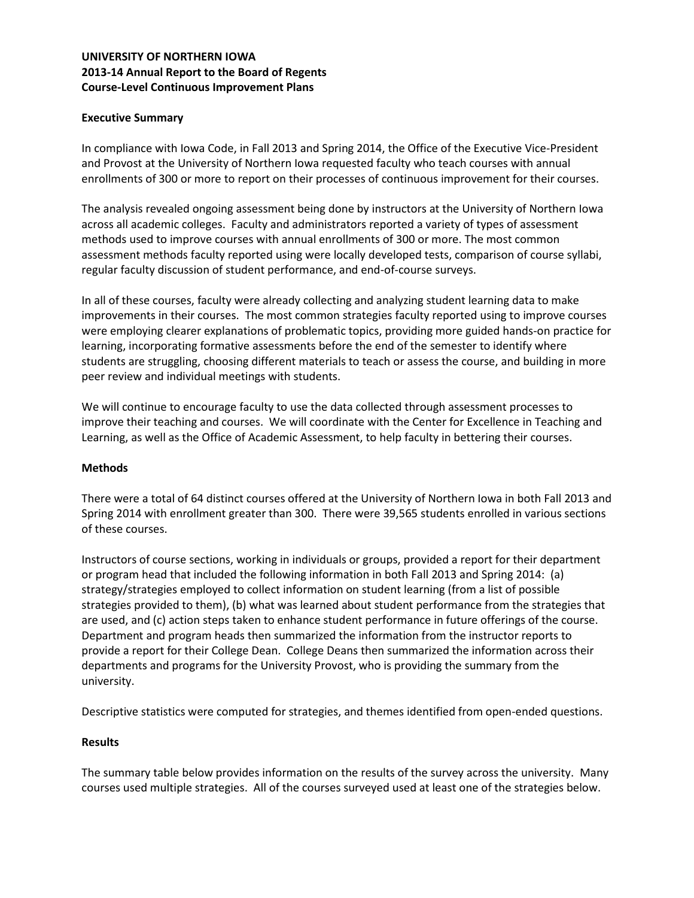#### **UNIVERSITY OF NORTHERN IOWA 2013-14 Annual Report to the Board of Regents Course-Level Continuous Improvement Plans**

#### **Executive Summary**

In compliance with Iowa Code, in Fall 2013 and Spring 2014, the Office of the Executive Vice-President and Provost at the University of Northern Iowa requested faculty who teach courses with annual enrollments of 300 or more to report on their processes of continuous improvement for their courses.

The analysis revealed ongoing assessment being done by instructors at the University of Northern Iowa across all academic colleges. Faculty and administrators reported a variety of types of assessment methods used to improve courses with annual enrollments of 300 or more. The most common assessment methods faculty reported using were locally developed tests, comparison of course syllabi, regular faculty discussion of student performance, and end-of-course surveys.

In all of these courses, faculty were already collecting and analyzing student learning data to make improvements in their courses. The most common strategies faculty reported using to improve courses were employing clearer explanations of problematic topics, providing more guided hands-on practice for learning, incorporating formative assessments before the end of the semester to identify where students are struggling, choosing different materials to teach or assess the course, and building in more peer review and individual meetings with students.

We will continue to encourage faculty to use the data collected through assessment processes to improve their teaching and courses. We will coordinate with the Center for Excellence in Teaching and Learning, as well as the Office of Academic Assessment, to help faculty in bettering their courses.

#### **Methods**

There were a total of 64 distinct courses offered at the University of Northern Iowa in both Fall 2013 and Spring 2014 with enrollment greater than 300. There were 39,565 students enrolled in various sections of these courses.

Instructors of course sections, working in individuals or groups, provided a report for their department or program head that included the following information in both Fall 2013 and Spring 2014: (a) strategy/strategies employed to collect information on student learning (from a list of possible strategies provided to them), (b) what was learned about student performance from the strategies that are used, and (c) action steps taken to enhance student performance in future offerings of the course. Department and program heads then summarized the information from the instructor reports to provide a report for their College Dean. College Deans then summarized the information across their departments and programs for the University Provost, who is providing the summary from the university.

Descriptive statistics were computed for strategies, and themes identified from open-ended questions.

#### **Results**

The summary table below provides information on the results of the survey across the university. Many courses used multiple strategies. All of the courses surveyed used at least one of the strategies below.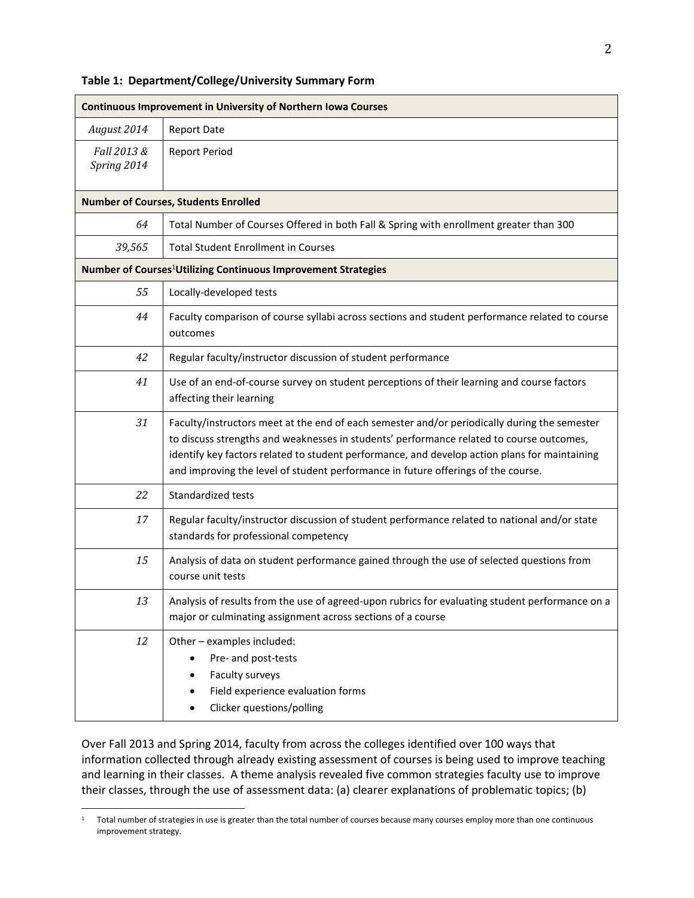#### **Table 1: Department/College/University Summary Form**

| <b>Continuous Improvement in University of Northern Iowa Courses</b>       |                                                                                                                                                                                                                                                                                                                                                                                |
|----------------------------------------------------------------------------|--------------------------------------------------------------------------------------------------------------------------------------------------------------------------------------------------------------------------------------------------------------------------------------------------------------------------------------------------------------------------------|
| August 2014                                                                | <b>Report Date</b>                                                                                                                                                                                                                                                                                                                                                             |
| Fall 2013 &<br>Spring 2014                                                 | <b>Report Period</b>                                                                                                                                                                                                                                                                                                                                                           |
| <b>Number of Courses, Students Enrolled</b>                                |                                                                                                                                                                                                                                                                                                                                                                                |
| 64                                                                         | Total Number of Courses Offered in both Fall & Spring with enrollment greater than 300                                                                                                                                                                                                                                                                                         |
| 39,565                                                                     | <b>Total Student Enrollment in Courses</b>                                                                                                                                                                                                                                                                                                                                     |
| Number of Courses <sup>1</sup> Utilizing Continuous Improvement Strategies |                                                                                                                                                                                                                                                                                                                                                                                |
| 55                                                                         | Locally-developed tests                                                                                                                                                                                                                                                                                                                                                        |
| 44                                                                         | Faculty comparison of course syllabi across sections and student performance related to course<br>outcomes                                                                                                                                                                                                                                                                     |
| 42                                                                         | Regular faculty/instructor discussion of student performance                                                                                                                                                                                                                                                                                                                   |
| 41                                                                         | Use of an end-of-course survey on student perceptions of their learning and course factors<br>affecting their learning                                                                                                                                                                                                                                                         |
| 31                                                                         | Faculty/instructors meet at the end of each semester and/or periodically during the semester<br>to discuss strengths and weaknesses in students' performance related to course outcomes,<br>identify key factors related to student performance, and develop action plans for maintaining<br>and improving the level of student performance in future offerings of the course. |
| 22                                                                         | Standardized tests                                                                                                                                                                                                                                                                                                                                                             |
| 17                                                                         | Regular faculty/instructor discussion of student performance related to national and/or state<br>standards for professional competency                                                                                                                                                                                                                                         |
| 15                                                                         | Analysis of data on student performance gained through the use of selected questions from<br>course unit tests                                                                                                                                                                                                                                                                 |
| 13                                                                         | Analysis of results from the use of agreed-upon rubrics for evaluating student performance on a<br>major or culminating assignment across sections of a course                                                                                                                                                                                                                 |
| 12                                                                         | Other - examples included:<br>Pre- and post-tests<br>Faculty surveys<br>Field experience evaluation forms<br>Clicker questions/polling                                                                                                                                                                                                                                         |

Over Fall 2013 and Spring 2014, faculty from across the colleges identified over 100 ways that information collected through already existing assessment of courses is being used to improve teaching and learning in their classes. A theme analysis revealed five common strategies faculty use to improve their classes, through the use of assessment data: (a) clearer explanations of problematic topics; (b)

 $\overline{a}$ 

 $1$  Total number of strategies in use is greater than the total number of courses because many courses employ more than one continuous improvement strategy.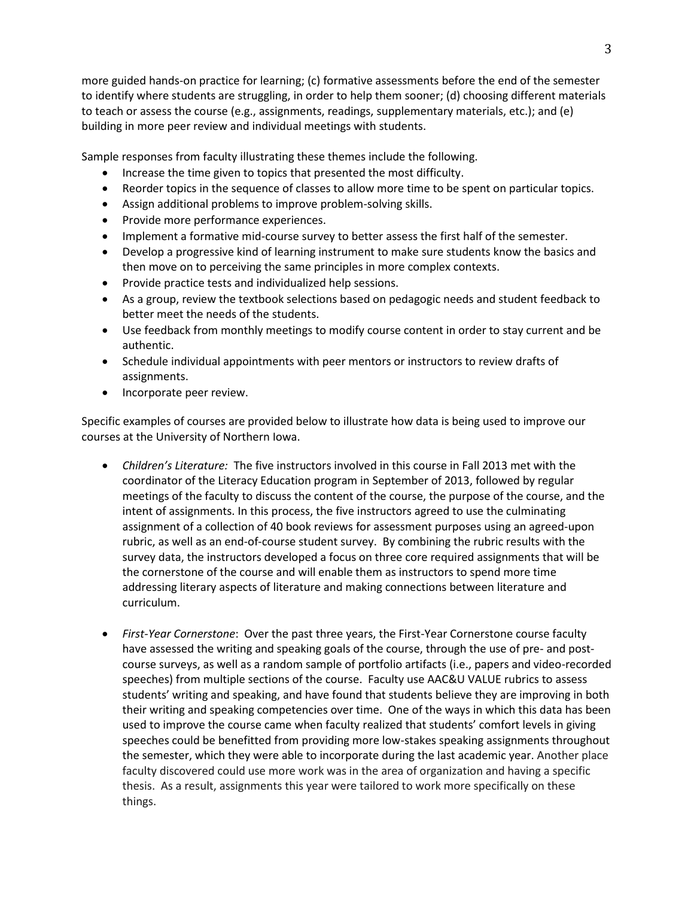more guided hands-on practice for learning; (c) formative assessments before the end of the semester to identify where students are struggling, in order to help them sooner; (d) choosing different materials to teach or assess the course (e.g., assignments, readings, supplementary materials, etc.); and (e) building in more peer review and individual meetings with students.

Sample responses from faculty illustrating these themes include the following.

- Increase the time given to topics that presented the most difficulty.
- Reorder topics in the sequence of classes to allow more time to be spent on particular topics.
- Assign additional problems to improve problem-solving skills.
- Provide more performance experiences.
- Implement a formative mid-course survey to better assess the first half of the semester.
- Develop a progressive kind of learning instrument to make sure students know the basics and then move on to perceiving the same principles in more complex contexts.
- Provide practice tests and individualized help sessions.
- As a group, review the textbook selections based on pedagogic needs and student feedback to better meet the needs of the students.
- Use feedback from monthly meetings to modify course content in order to stay current and be authentic.
- Schedule individual appointments with peer mentors or instructors to review drafts of assignments.
- Incorporate peer review.

Specific examples of courses are provided below to illustrate how data is being used to improve our courses at the University of Northern Iowa.

- *Children's Literature:* The five instructors involved in this course in Fall 2013 met with the coordinator of the Literacy Education program in September of 2013, followed by regular meetings of the faculty to discuss the content of the course, the purpose of the course, and the intent of assignments. In this process, the five instructors agreed to use the culminating assignment of a collection of 40 book reviews for assessment purposes using an agreed-upon rubric, as well as an end-of-course student survey. By combining the rubric results with the survey data, the instructors developed a focus on three core required assignments that will be the cornerstone of the course and will enable them as instructors to spend more time addressing literary aspects of literature and making connections between literature and curriculum.
- *First-Year Cornerstone*: Over the past three years, the First-Year Cornerstone course faculty have assessed the writing and speaking goals of the course, through the use of pre- and postcourse surveys, as well as a random sample of portfolio artifacts (i.e., papers and video-recorded speeches) from multiple sections of the course. Faculty use AAC&U VALUE rubrics to assess students' writing and speaking, and have found that students believe they are improving in both their writing and speaking competencies over time. One of the ways in which this data has been used to improve the course came when faculty realized that students' comfort levels in giving speeches could be benefitted from providing more low-stakes speaking assignments throughout the semester, which they were able to incorporate during the last academic year. Another place faculty discovered could use more work was in the area of organization and having a specific thesis. As a result, assignments this year were tailored to work more specifically on these things.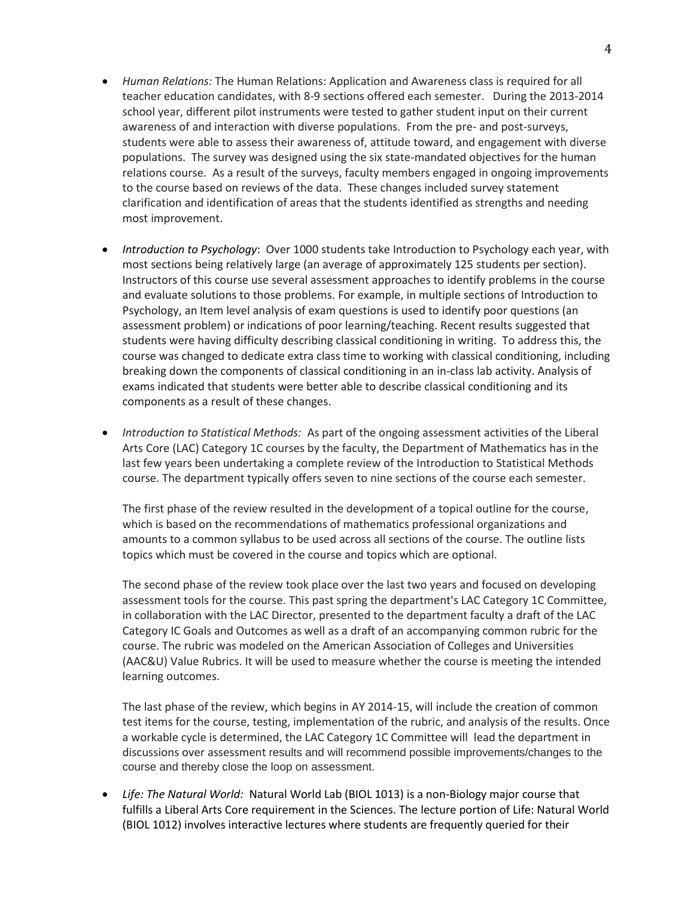- *Human Relations:* The Human Relations: Application and Awareness class is required for all teacher education candidates, with 8-9 sections offered each semester. During the 2013-2014 school year, different pilot instruments were tested to gather student input on their current awareness of and interaction with diverse populations. From the pre- and post-surveys, students were able to assess their awareness of, attitude toward, and engagement with diverse populations. The survey was designed using the six state-mandated objectives for the human relations course. As a result of the surveys, faculty members engaged in ongoing improvements to the course based on reviews of the data. These changes included survey statement clarification and identification of areas that the students identified as strengths and needing most improvement.
- *Introduction to Psychology*: Over 1000 students take Introduction to Psychology each year, with most sections being relatively large (an average of approximately 125 students per section). Instructors of this course use several assessment approaches to identify problems in the course and evaluate solutions to those problems. For example, in multiple sections of Introduction to Psychology, an Item level analysis of exam questions is used to identify poor questions (an assessment problem) or indications of poor learning/teaching. Recent results suggested that students were having difficulty describing classical conditioning in writing. To address this, the course was changed to dedicate extra class time to working with classical conditioning, including breaking down the components of classical conditioning in an in-class lab activity. Analysis of exams indicated that students were better able to describe classical conditioning and its components as a result of these changes.
- *Introduction to Statistical Methods:* As part of the ongoing assessment activities of the Liberal Arts Core (LAC) Category 1C courses by the faculty, the Department of Mathematics has in the last few years been undertaking a complete review of the Introduction to Statistical Methods course. The department typically offers seven to nine sections of the course each semester.

The first phase of the review resulted in the development of a topical outline for the course, which is based on the recommendations of mathematics professional organizations and amounts to a common syllabus to be used across all sections of the course. The outline lists topics which must be covered in the course and topics which are optional.

The second phase of the review took place over the last two years and focused on developing assessment tools for the course. This past spring the department's LAC Category 1C Committee, in collaboration with the LAC Director, presented to the department faculty a draft of the LAC Category IC Goals and Outcomes as well as a draft of an accompanying common rubric for the course. The rubric was modeled on the American Association of Colleges and Universities (AAC&U) Value Rubrics. It will be used to measure whether the course is meeting the intended learning outcomes.

The last phase of the review, which begins in AY 2014-15, will include the creation of common test items for the course, testing, implementation of the rubric, and analysis of the results. Once a workable cycle is determined, the LAC Category 1C Committee will lead the department in discussions over assessment results and will recommend possible improvements/changes to the course and thereby close the loop on assessment.

 *Life: The Natural World:* Natural World Lab (BIOL 1013) is a non-Biology major course that fulfills a Liberal Arts Core requirement in the Sciences. The lecture portion of Life: Natural World (BIOL 1012) involves interactive lectures where students are frequently queried for their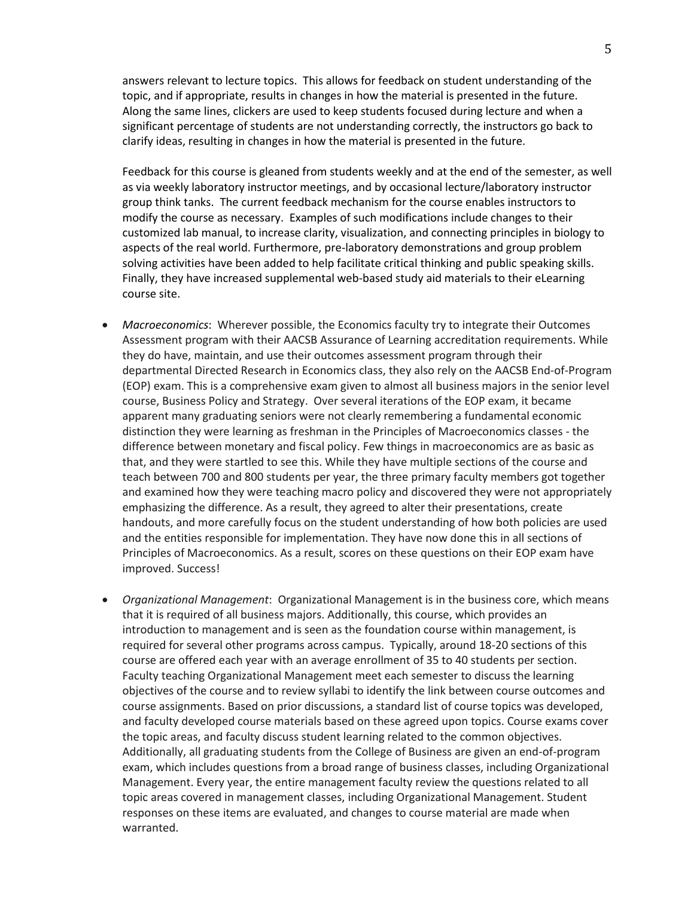answers relevant to lecture topics. This allows for feedback on student understanding of the topic, and if appropriate, results in changes in how the material is presented in the future. Along the same lines, clickers are used to keep students focused during lecture and when a significant percentage of students are not understanding correctly, the instructors go back to clarify ideas, resulting in changes in how the material is presented in the future.

Feedback for this course is gleaned from students weekly and at the end of the semester, as well as via weekly laboratory instructor meetings, and by occasional lecture/laboratory instructor group think tanks. The current feedback mechanism for the course enables instructors to modify the course as necessary. Examples of such modifications include changes to their customized lab manual, to increase clarity, visualization, and connecting principles in biology to aspects of the real world. Furthermore, pre-laboratory demonstrations and group problem solving activities have been added to help facilitate critical thinking and public speaking skills. Finally, they have increased supplemental web-based study aid materials to their eLearning course site.

- *Macroeconomics*: Wherever possible, the Economics faculty try to integrate their Outcomes Assessment program with their AACSB Assurance of Learning accreditation requirements. While they do have, maintain, and use their outcomes assessment program through their departmental Directed Research in Economics class, they also rely on the AACSB End-of-Program (EOP) exam. This is a comprehensive exam given to almost all business majors in the senior level course, Business Policy and Strategy. Over several iterations of the EOP exam, it became apparent many graduating seniors were not clearly remembering a fundamental economic distinction they were learning as freshman in the Principles of Macroeconomics classes - the difference between monetary and fiscal policy. Few things in macroeconomics are as basic as that, and they were startled to see this. While they have multiple sections of the course and teach between 700 and 800 students per year, the three primary faculty members got together and examined how they were teaching macro policy and discovered they were not appropriately emphasizing the difference. As a result, they agreed to alter their presentations, create handouts, and more carefully focus on the student understanding of how both policies are used and the entities responsible for implementation. They have now done this in all sections of Principles of Macroeconomics. As a result, scores on these questions on their EOP exam have improved. Success!
- *Organizational Management*: Organizational Management is in the business core, which means that it is required of all business majors. Additionally, this course, which provides an introduction to management and is seen as the foundation course within management, is required for several other programs across campus. Typically, around 18-20 sections of this course are offered each year with an average enrollment of 35 to 40 students per section. Faculty teaching Organizational Management meet each semester to discuss the learning objectives of the course and to review syllabi to identify the link between course outcomes and course assignments. Based on prior discussions, a standard list of course topics was developed, and faculty developed course materials based on these agreed upon topics. Course exams cover the topic areas, and faculty discuss student learning related to the common objectives. Additionally, all graduating students from the College of Business are given an end-of-program exam, which includes questions from a broad range of business classes, including Organizational Management. Every year, the entire management faculty review the questions related to all topic areas covered in management classes, including Organizational Management. Student responses on these items are evaluated, and changes to course material are made when warranted.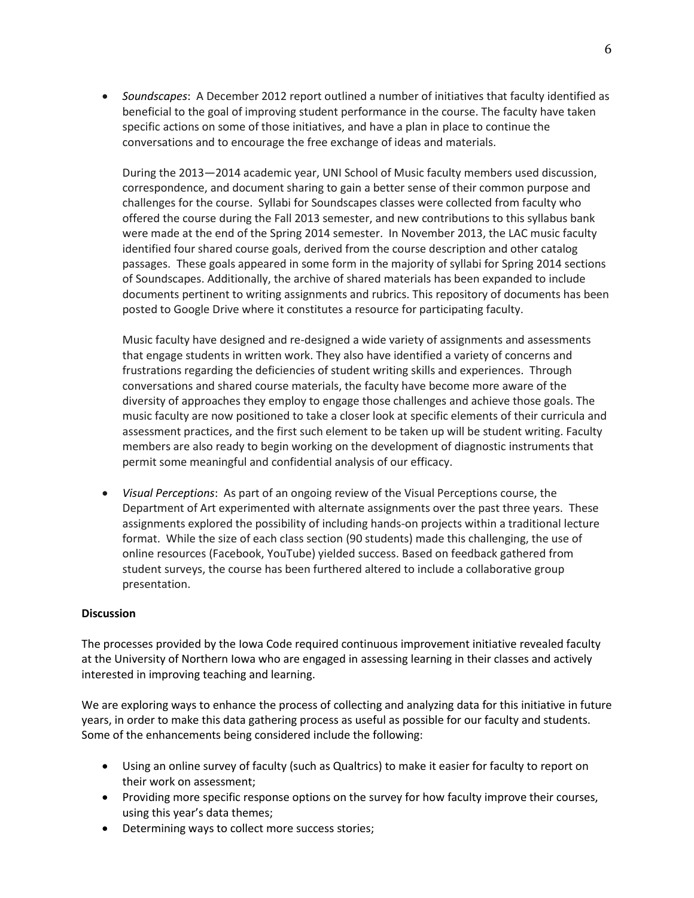*Soundscapes*: A December 2012 report outlined a number of initiatives that faculty identified as beneficial to the goal of improving student performance in the course. The faculty have taken specific actions on some of those initiatives, and have a plan in place to continue the conversations and to encourage the free exchange of ideas and materials.

During the 2013—2014 academic year, UNI School of Music faculty members used discussion, correspondence, and document sharing to gain a better sense of their common purpose and challenges for the course. Syllabi for Soundscapes classes were collected from faculty who offered the course during the Fall 2013 semester, and new contributions to this syllabus bank were made at the end of the Spring 2014 semester. In November 2013, the LAC music faculty identified four shared course goals, derived from the course description and other catalog passages. These goals appeared in some form in the majority of syllabi for Spring 2014 sections of Soundscapes. Additionally, the archive of shared materials has been expanded to include documents pertinent to writing assignments and rubrics. This repository of documents has been posted to Google Drive where it constitutes a resource for participating faculty.

Music faculty have designed and re-designed a wide variety of assignments and assessments that engage students in written work. They also have identified a variety of concerns and frustrations regarding the deficiencies of student writing skills and experiences. Through conversations and shared course materials, the faculty have become more aware of the diversity of approaches they employ to engage those challenges and achieve those goals. The music faculty are now positioned to take a closer look at specific elements of their curricula and assessment practices, and the first such element to be taken up will be student writing. Faculty members are also ready to begin working on the development of diagnostic instruments that permit some meaningful and confidential analysis of our efficacy.

 *Visual Perceptions*: As part of an ongoing review of the Visual Perceptions course, the Department of Art experimented with alternate assignments over the past three years. These assignments explored the possibility of including hands-on projects within a traditional lecture format. While the size of each class section (90 students) made this challenging, the use of online resources (Facebook, YouTube) yielded success. Based on feedback gathered from student surveys, the course has been furthered altered to include a collaborative group presentation.

#### **Discussion**

The processes provided by the Iowa Code required continuous improvement initiative revealed faculty at the University of Northern Iowa who are engaged in assessing learning in their classes and actively interested in improving teaching and learning.

We are exploring ways to enhance the process of collecting and analyzing data for this initiative in future years, in order to make this data gathering process as useful as possible for our faculty and students. Some of the enhancements being considered include the following:

- Using an online survey of faculty (such as Qualtrics) to make it easier for faculty to report on their work on assessment;
- Providing more specific response options on the survey for how faculty improve their courses, using this year's data themes;
- Determining ways to collect more success stories;